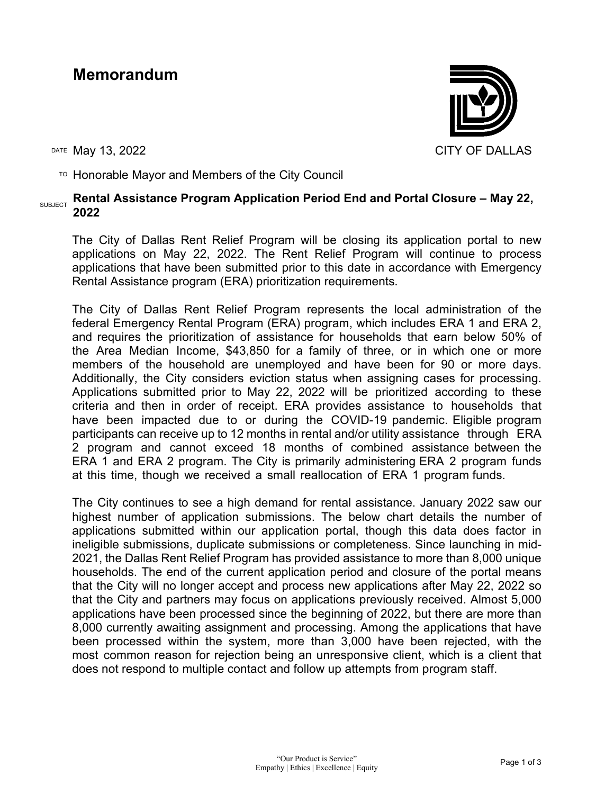# **Memorandum**



 $\overline{P}$  Honorable Mayor and Members of the City Council

#### SUBJECT **Rental Assistance Program Application Period End and Portal Closure – May 22, 2022**

The City of Dallas Rent Relief Program will be closing its application portal to new applications on May 22, 2022. The Rent Relief Program will continue to process applications that have been submitted prior to this date in accordance with Emergency Rental Assistance program (ERA) prioritization requirements.

The City of Dallas Rent Relief Program represents the local administration of the federal Emergency Rental Program (ERA) program, which includes ERA 1 and ERA 2, and requires the prioritization of assistance for households that earn below 50% of the Area Median Income, \$43,850 for a family of three, or in which one or more members of the household are unemployed and have been for 90 or more days. Additionally, the City considers eviction status when assigning cases for processing. Applications submitted prior to May 22, 2022 will be prioritized according to these criteria and then in order of receipt. ERA provides assistance to households that have been impacted due to or during the COVID-19 pandemic. Eligible program participants can receive up to 12 months in rental and/or utility assistance through ERA 2 program and cannot exceed 18 months of combined assistance between the ERA 1 and ERA 2 program. The City is primarily administering ERA 2 program funds at this time, though we received a small reallocation of ERA 1 program funds.

The City continues to see a high demand for rental assistance. January 2022 saw our highest number of application submissions. The below chart details the number of applications submitted within our application portal, though this data does factor in ineligible submissions, duplicate submissions or completeness. Since launching in mid-2021, the Dallas Rent Relief Program has provided assistance to more than 8,000 unique households. The end of the current application period and closure of the portal means that the City will no longer accept and process new applications after May 22, 2022 so that the City and partners may focus on applications previously received. Almost 5,000 applications have been processed since the beginning of 2022, but there are more than 8,000 currently awaiting assignment and processing. Among the applications that have been processed within the system, more than 3,000 have been rejected, with the most common reason for rejection being an unresponsive client, which is a client that does not respond to multiple contact and follow up attempts from program staff.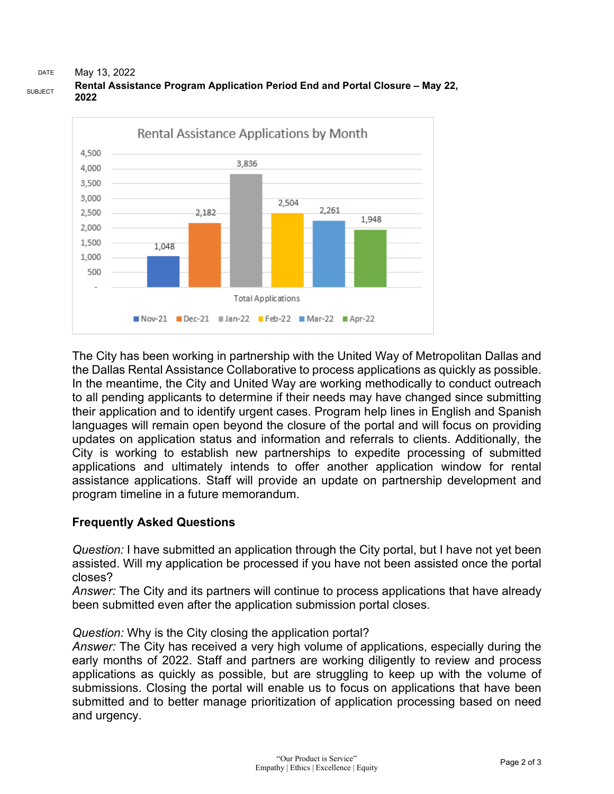#### DATE May 13, 2022 **Rental Assistance Program Application Period End and Portal Closure – May 22, 2022**



The City has been working in partnership with the United Way of Metropolitan Dallas and the Dallas Rental Assistance Collaborative to process applications as quickly as possible. In the meantime, the City and United Way are working methodically to conduct outreach to all pending applicants to determine if their needs may have changed since submitting their application and to identify urgent cases. Program help lines in English and Spanish languages will remain open beyond the closure of the portal and will focus on providing updates on application status and information and referrals to clients. Additionally, the City is working to establish new partnerships to expedite processing of submitted applications and ultimately intends to offer another application window for rental assistance applications. Staff will provide an update on partnership development and program timeline in a future memorandum.

## **Frequently Asked Questions**

*Question:* I have submitted an application through the City portal, but I have not yet been assisted. Will my application be processed if you have not been assisted once the portal closes?

*Answer:* The City and its partners will continue to process applications that have already been submitted even after the application submission portal closes.

## *Question:* Why is the City closing the application portal?

*Answer:* The City has received a very high volume of applications, especially during the early months of 2022. Staff and partners are working diligently to review and process applications as quickly as possible, but are struggling to keep up with the volume of submissions. Closing the portal will enable us to focus on applications that have been submitted and to better manage prioritization of application processing based on need and urgency.

SUBJECT